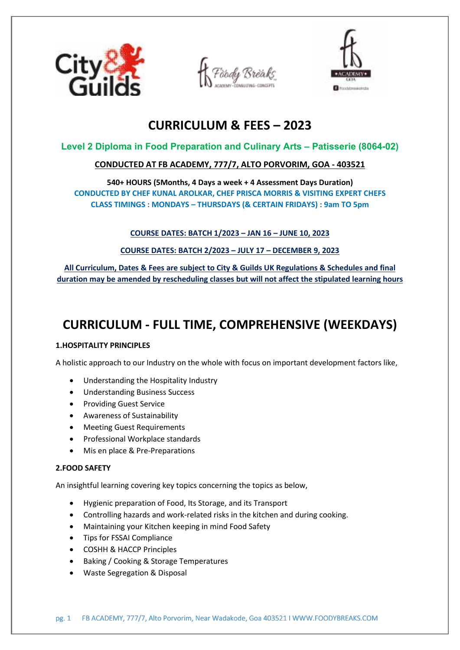





# **CURRICULUM & FEES – 2023**

# **Level 2 Diploma in Food Preparation and Culinary Arts – Patisserie (8064-02)**

# **CONDUCTED AT FB ACADEMY, 777/7, ALTO PORVORIM, GOA - 403521**

**540+ HOURS (5Months, 4 Days a week + 4 Assessment Days Duration) CONDUCTED BY CHEF KUNAL AROLKAR, CHEF PRISCA MORRIS & VISITING EXPERT CHEFS CLASS TIMINGS : MONDAYS – THURSDAYS (& CERTAIN FRIDAYS) : 9am TO 5pm** 

## **COURSE DATES: BATCH 1/2023 – JAN 16 – JUNE 10, 2023**

**COURSE DATES: BATCH 2/2023 – JULY 17 – DECEMBER 9, 2023** 

**All Curriculum, Dates & Fees are subject to City & Guilds UK Regulations & Schedules and final duration may be amended by rescheduling classes but will not affect the stipulated learning hours** 

# **CURRICULUM - FULL TIME, COMPREHENSIVE (WEEKDAYS)**

## **1.HOSPITALITY PRINCIPLES**

A holistic approach to our Industry on the whole with focus on important development factors like,

- Understanding the Hospitality Industry
- Understanding Business Success
- Providing Guest Service
- Awareness of Sustainability
- Meeting Guest Requirements
- Professional Workplace standards
- Mis en place & Pre-Preparations

## **2.FOOD SAFETY**

An insightful learning covering key topics concerning the topics as below,

- Hygienic preparation of Food, Its Storage, and its Transport
- Controlling hazards and work-related risks in the kitchen and during cooking.
- Maintaining your Kitchen keeping in mind Food Safety
- Tips for FSSAI Compliance
- COSHH & HACCP Principles
- Baking / Cooking & Storage Temperatures
- Waste Segregation & Disposal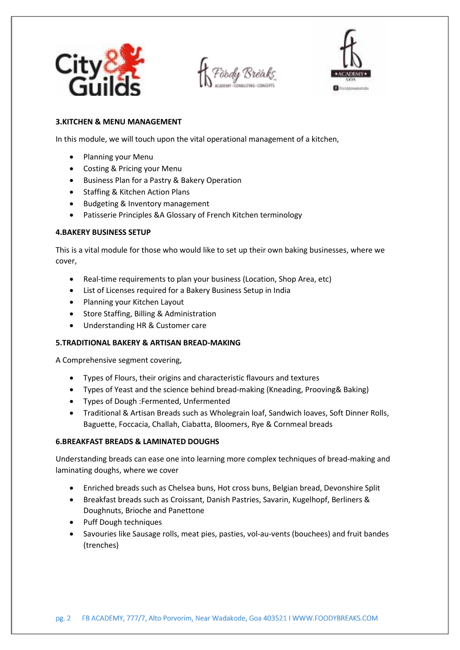



## **3.KITCHEN & MENU MANAGEMENT**

In this module, we will touch upon the vital operational management of a kitchen,

- Planning your Menu
- Costing & Pricing your Menu
- **•** Business Plan for a Pastry & Bakery Operation
- Staffing & Kitchen Action Plans
- Budgeting & Inventory management
- Patisserie Principles &A Glossary of French Kitchen terminology

## **4.BAKERY BUSINESS SETUP**

This is a vital module for those who would like to set up their own baking businesses, where we cover,

- Real-time requirements to plan your business (Location, Shop Area, etc)
- List of Licenses required for a Bakery Business Setup in India
- Planning your Kitchen Layout
- Store Staffing, Billing & Administration
- Understanding HR & Customer care

## **5.TRADITIONAL BAKERY & ARTISAN BREAD-MAKING**

A Comprehensive segment covering,

- Types of Flours, their origins and characteristic flavours and textures
- Types of Yeast and the science behind bread-making (Kneading, Prooving& Baking)
- Types of Dough :Fermented, Unfermented
- Traditional & Artisan Breads such as Wholegrain loaf, Sandwich loaves, Soft Dinner Rolls, Baguette, Foccacia, Challah, Ciabatta, Bloomers, Rye & Cornmeal breads

## **6.BREAKFAST BREADS & LAMINATED DOUGHS**

Understanding breads can ease one into learning more complex techniques of bread-making and laminating doughs, where we cover

- Enriched breads such as Chelsea buns, Hot cross buns, Belgian bread, Devonshire Split
- Breakfast breads such as Croissant, Danish Pastries, Savarin, Kugelhopf, Berliners & Doughnuts, Brioche and Panettone
- Puff Dough techniques
- Savouries like Sausage rolls, meat pies, pasties, vol-au-vents (bouchees) and fruit bandes (trenches)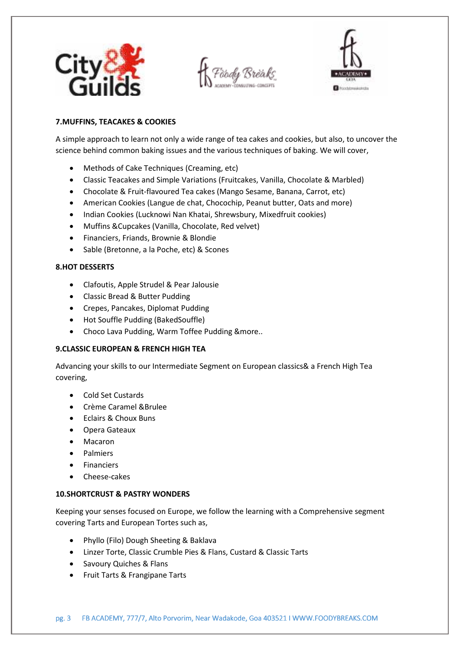



## **7.MUFFINS, TEACAKES & COOKIES**

A simple approach to learn not only a wide range of tea cakes and cookies, but also, to uncover the science behind common baking issues and the various techniques of baking. We will cover,

- Methods of Cake Techniques (Creaming, etc)
- Classic Teacakes and Simple Variations (Fruitcakes, Vanilla, Chocolate & Marbled)
- Chocolate & Fruit-flavoured Tea cakes (Mango Sesame, Banana, Carrot, etc)
- American Cookies (Langue de chat, Chocochip, Peanut butter, Oats and more)
- Indian Cookies (Lucknowi Nan Khatai, Shrewsbury, Mixedfruit cookies)
- Muffins &Cupcakes (Vanilla, Chocolate, Red velvet)
- Financiers, Friands, Brownie & Blondie
- Sable (Bretonne, a la Poche, etc) & Scones

## **8.HOT DESSERTS**

- Clafoutis, Apple Strudel & Pear Jalousie
- Classic Bread & Butter Pudding
- Crepes, Pancakes, Diplomat Pudding
- Hot Souffle Pudding (BakedSouffle)
- Choco Lava Pudding, Warm Toffee Pudding &more..

## **9.CLASSIC EUROPEAN & FRENCH HIGH TEA**

Advancing your skills to our Intermediate Segment on European classics& a French High Tea covering,

- Cold Set Custards
- Crème Caramel &Brulee
- Eclairs & Choux Buns
- Opera Gateaux
- Macaron
- **•** Palmiers
- Financiers
- Cheese-cakes

## **10.SHORTCRUST & PASTRY WONDERS**

Keeping your senses focused on Europe, we follow the learning with a Comprehensive segment covering Tarts and European Tortes such as,

- Phyllo (Filo) Dough Sheeting & Baklava
- Linzer Torte, Classic Crumble Pies & Flans, Custard & Classic Tarts
- Savoury Quiches & Flans
- Fruit Tarts & Frangipane Tarts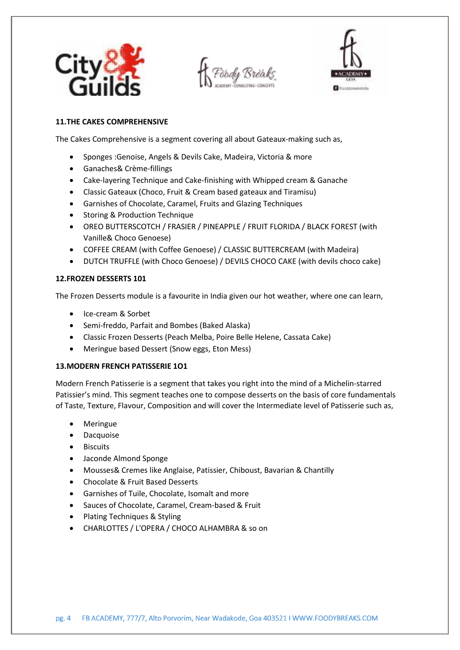



## **11.THE CAKES COMPREHENSIVE**

The Cakes Comprehensive is a segment covering all about Gateaux-making such as,

- Sponges :Genoise, Angels & Devils Cake, Madeira, Victoria & more
- Ganaches& Crème-fillings
- Cake-layering Technique and Cake-finishing with Whipped cream & Ganache
- Classic Gateaux (Choco, Fruit & Cream based gateaux and Tiramisu)
- Garnishes of Chocolate, Caramel, Fruits and Glazing Techniques
- Storing & Production Technique
- OREO BUTTERSCOTCH / FRASIER / PINEAPPLE / FRUIT FLORIDA / BLACK FOREST (with Vanille& Choco Genoese)
- COFFEE CREAM (with Coffee Genoese) / CLASSIC BUTTERCREAM (with Madeira)
- DUTCH TRUFFLE (with Choco Genoese) / DEVILS CHOCO CAKE (with devils choco cake)

#### **12.FROZEN DESSERTS 101**

The Frozen Desserts module is a favourite in India given our hot weather, where one can learn,

- Ice-cream & Sorbet
- Semi-freddo, Parfait and Bombes (Baked Alaska)
- Classic Frozen Desserts (Peach Melba, Poire Belle Helene, Cassata Cake)
- Meringue based Dessert (Snow eggs, Eton Mess)

#### **13.MODERN FRENCH PATISSERIE 1O1**

Modern French Patisserie is a segment that takes you right into the mind of a Michelin-starred Patissier's mind. This segment teaches one to compose desserts on the basis of core fundamentals of Taste, Texture, Flavour, Composition and will cover the Intermediate level of Patisserie such as,

- Meringue
- Dacquoise
- Biscuits
- Jaconde Almond Sponge
- Mousses& Cremes like Anglaise, Patissier, Chiboust, Bavarian & Chantilly
- Chocolate & Fruit Based Desserts
- Garnishes of Tuile, Chocolate, Isomalt and more
- Sauces of Chocolate, Caramel, Cream-based & Fruit
- Plating Techniques & Styling
- CHARLOTTES / L'OPERA / CHOCO ALHAMBRA & so on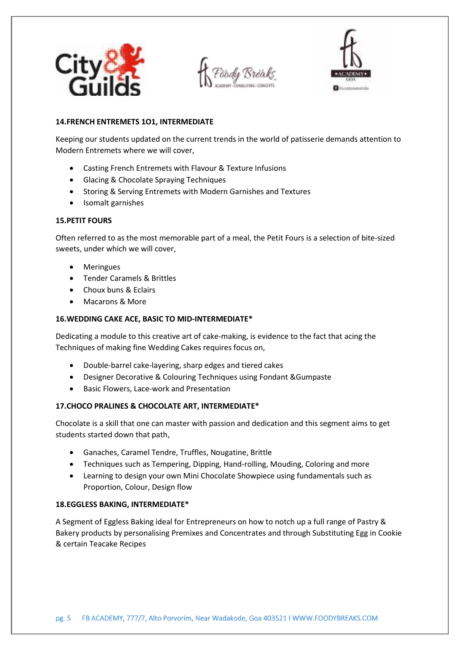





## **14.FRENCH ENTREMETS 1O1, INTERMEDIATE**

Keeping our students updated on the current trends in the world of patisserie demands attention to Modern Entremets where we will cover,

- Casting French Entremets with Flavour & Texture Infusions
- Glacing & Chocolate Spraying Techniques
- Storing & Serving Entremets with Modern Garnishes and Textures
- Isomalt garnishes

## **15.PETIT FOURS**

Often referred to as the most memorable part of a meal, the Petit Fours is a selection of bite-sized sweets, under which we will cover,

- Meringues
- Tender Caramels & Brittles
- Choux buns & Eclairs
- Macarons & More

## **16.WEDDING CAKE ACE, BASIC TO MID-INTERMEDIATE\***

Dedicating a module to this creative art of cake-making, is evidence to the fact that acing the Techniques of making fine Wedding Cakes requires focus on,

- Double-barrel cake-layering, sharp edges and tiered cakes
- Designer Decorative & Colouring Techniques using Fondant &Gumpaste
- Basic Flowers, Lace-work and Presentation

## **17.CHOCO PRALINES & CHOCOLATE ART, INTERMEDIATE\***

Chocolate is a skill that one can master with passion and dedication and this segment aims to get students started down that path,

- Ganaches, Caramel Tendre, Truffles, Nougatine, Brittle
- Techniques such as Tempering, Dipping, Hand-rolling, Mouding, Coloring and more
- Learning to design your own Mini Chocolate Showpiece using fundamentals such as Proportion, Colour, Design flow

## **18.EGGLESS BAKING, INTERMEDIATE\***

A Segment of Eggless Baking ideal for Entrepreneurs on how to notch up a full range of Pastry & Bakery products by personalising Premixes and Concentrates and through Substituting Egg in Cookie & certain Teacake Recipes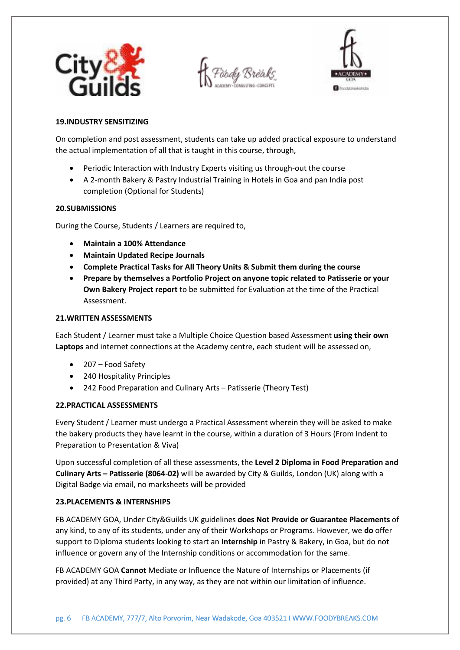



#### **19.INDUSTRY SENSITIZING**

On completion and post assessment, students can take up added practical exposure to understand the actual implementation of all that is taught in this course, through,

- Periodic Interaction with Industry Experts visiting us through-out the course
- A 2-month Bakery & Pastry Industrial Training in Hotels in Goa and pan India post completion (Optional for Students)

#### **20.SUBMISSIONS**

During the Course, Students / Learners are required to,

- **Maintain a 100% Attendance**
- **Maintain Updated Recipe Journals**
- **Complete Practical Tasks for All Theory Units & Submit them during the course**
- **Prepare by themselves a Portfolio Project on anyone topic related to Patisserie or your Own Bakery Project report** to be submitted for Evaluation at the time of the Practical Assessment.

#### **21.WRITTEN ASSESSMENTS**

Each Student / Learner must take a Multiple Choice Question based Assessment **using their own Laptops** and internet connections at the Academy centre, each student will be assessed on,

- 207 Food Safety
- 240 Hospitality Principles
- 242 Food Preparation and Culinary Arts Patisserie (Theory Test)

## **22.PRACTICAL ASSESSMENTS**

Every Student / Learner must undergo a Practical Assessment wherein they will be asked to make the bakery products they have learnt in the course, within a duration of 3 Hours (From Indent to Preparation to Presentation & Viva)

Upon successful completion of all these assessments, the **Level 2 Diploma in Food Preparation and Culinary Arts – Patisserie (8064-02)** will be awarded by City & Guilds, London (UK) along with a Digital Badge via email, no marksheets will be provided

## **23.PLACEMENTS & INTERNSHIPS**

FB ACADEMY GOA, Under City&Guilds UK guidelines **does Not Provide or Guarantee Placements** of any kind, to any of its students, under any of their Workshops or Programs. However, we **do** offer support to Diploma students looking to start an **Internship** in Pastry & Bakery, in Goa, but do not influence or govern any of the Internship conditions or accommodation for the same.

FB ACADEMY GOA **Cannot** Mediate or Influence the Nature of Internships or Placements (if provided) at any Third Party, in any way, as they are not within our limitation of influence.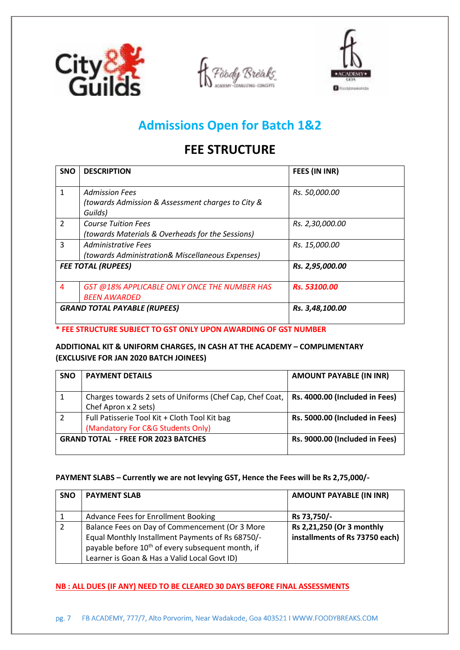





# **Admissions Open for Batch 1&2**

# **FEE STRUCTURE**

| <b>SNO</b>                          | <b>DESCRIPTION</b>                                | FEES (IN INR)       |
|-------------------------------------|---------------------------------------------------|---------------------|
|                                     |                                                   |                     |
| 1                                   | <b>Admission Fees</b>                             | Rs. 50,000.00       |
|                                     | (towards Admission & Assessment charges to City & |                     |
|                                     | Guilds)                                           |                     |
| $\mathcal{P}$                       | <b>Course Tuition Fees</b>                        | Rs. 2,30,000.00     |
|                                     | (towards Materials & Overheads for the Sessions)  |                     |
| 3                                   | <b>Administrative Fees</b>                        | Rs. 15,000.00       |
|                                     | (towards Administration& Miscellaneous Expenses)  |                     |
| <b>FEE TOTAL (RUPEES)</b>           |                                                   | Rs. 2,95,000.00     |
| 4                                   | GST @18% APPLICABLE ONLY ONCE THE NUMBER HAS      | <b>Rs. 53100.00</b> |
|                                     | <b>BEEN AWARDED</b>                               |                     |
| <b>GRAND TOTAL PAYABLE (RUPEES)</b> |                                                   | Rs. 3,48,100.00     |

**\* FEE STRUCTURE SUBJECT TO GST ONLY UPON AWARDING OF GST NUMBER** 

## **ADDITIONAL KIT & UNIFORM CHARGES, IN CASH AT THE ACADEMY – COMPLIMENTARY (EXCLUSIVE FOR JAN 2020 BATCH JOINEES)**

| <b>SNO</b>                                 | <b>PAYMENT DETAILS</b>                                                             | <b>AMOUNT PAYABLE (IN INR)</b> |
|--------------------------------------------|------------------------------------------------------------------------------------|--------------------------------|
| 1                                          | Charges towards 2 sets of Uniforms (Chef Cap, Chef Coat,<br>Chef Apron x 2 sets)   | Rs. 4000.00 (Included in Fees) |
| $\overline{2}$                             | Full Patisserie Tool Kit + Cloth Tool Kit bag<br>(Mandatory For C&G Students Only) | Rs. 5000.00 (Included in Fees) |
| <b>GRAND TOTAL - FREE FOR 2023 BATCHES</b> |                                                                                    | Rs. 9000.00 (Included in Fees) |

## **PAYMENT SLABS – Currently we are not levying GST, Hence the Fees will be Rs 2,75,000/-**

| <b>SNO</b> | <b>PAYMENT SLAB</b>                                                                                                                                                 | <b>AMOUNT PAYABLE (IN INR)</b>                              |
|------------|---------------------------------------------------------------------------------------------------------------------------------------------------------------------|-------------------------------------------------------------|
| 1          | <b>Advance Fees for Enrollment Booking</b>                                                                                                                          | Rs 73,750/-                                                 |
| 2          | Balance Fees on Day of Commencement (Or 3 More<br>Equal Monthly Installment Payments of Rs 68750/-<br>payable before 10 <sup>th</sup> of every subsequent month, if | Rs 2,21,250 (Or 3 monthly<br>installments of Rs 73750 each) |
|            | Learner is Goan & Has a Valid Local Govt ID)                                                                                                                        |                                                             |

## **NB : ALL DUES (IF ANY) NEED TO BE CLEARED 30 DAYS BEFORE FINAL ASSESSMENTS**

pg. 7 FB ACADEMY, 777/7, Alto Porvorim, Near Wadakode, Goa 403521 I WWW.FOODYBREAKS.COM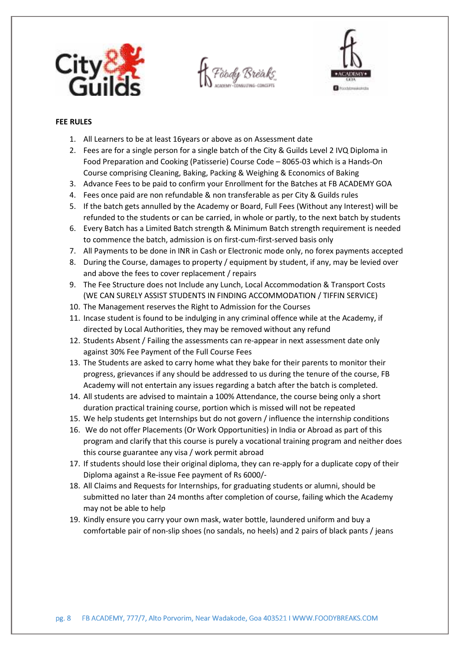



#### **FEE RULES**

- 1. All Learners to be at least 16years or above as on Assessment date
- 2. Fees are for a single person for a single batch of the City & Guilds Level 2 IVQ Diploma in Food Preparation and Cooking (Patisserie) Course Code – 8065-03 which is a Hands-On Course comprising Cleaning, Baking, Packing & Weighing & Economics of Baking
- 3. Advance Fees to be paid to confirm your Enrollment for the Batches at FB ACADEMY GOA
- 4. Fees once paid are non refundable & non transferable as per City & Guilds rules
- 5. If the batch gets annulled by the Academy or Board, Full Fees (Without any Interest) will be refunded to the students or can be carried, in whole or partly, to the next batch by students
- 6. Every Batch has a Limited Batch strength & Minimum Batch strength requirement is needed to commence the batch, admission is on first-cum-first-served basis only
- 7. All Payments to be done in INR in Cash or Electronic mode only, no forex payments accepted
- 8. During the Course, damages to property / equipment by student, if any, may be levied over and above the fees to cover replacement / repairs
- 9. The Fee Structure does not Include any Lunch, Local Accommodation & Transport Costs (WE CAN SURELY ASSIST STUDENTS IN FINDING ACCOMMODATION / TIFFIN SERVICE)
- 10. The Management reserves the Right to Admission for the Courses
- 11. Incase student is found to be indulging in any criminal offence while at the Academy, if directed by Local Authorities, they may be removed without any refund
- 12. Students Absent / Failing the assessments can re-appear in next assessment date only against 30% Fee Payment of the Full Course Fees
- 13. The Students are asked to carry home what they bake for their parents to monitor their progress, grievances if any should be addressed to us during the tenure of the course, FB Academy will not entertain any issues regarding a batch after the batch is completed.
- 14. All students are advised to maintain a 100% Attendance, the course being only a short duration practical training course, portion which is missed will not be repeated
- 15. We help students get Internships but do not govern / influence the internship conditions
- 16. We do not offer Placements (Or Work Opportunities) in India or Abroad as part of this program and clarify that this course is purely a vocational training program and neither does this course guarantee any visa / work permit abroad
- 17. If students should lose their original diploma, they can re-apply for a duplicate copy of their Diploma against a Re-issue Fee payment of Rs 6000/-
- 18. All Claims and Requests for Internships, for graduating students or alumni, should be submitted no later than 24 months after completion of course, failing which the Academy may not be able to help
- 19. Kindly ensure you carry your own mask, water bottle, laundered uniform and buy a comfortable pair of non-slip shoes (no sandals, no heels) and 2 pairs of black pants / jeans